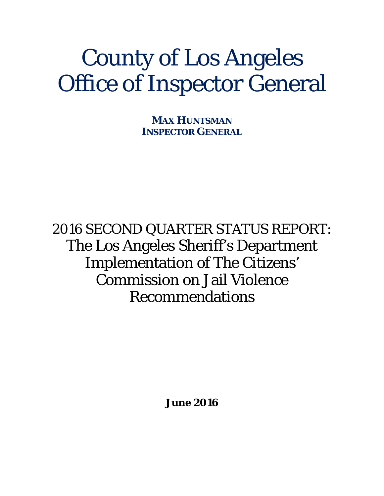# County of Los Angeles Office of Inspector General

**MAX HUNTSMAN INSPECTOR GENERAL**

2016 SECOND QUARTER STATUS REPORT: The Los Angeles Sheriff's Department Implementation of The Citizens' Commission on Jail Violence Recommendations

**June 2016**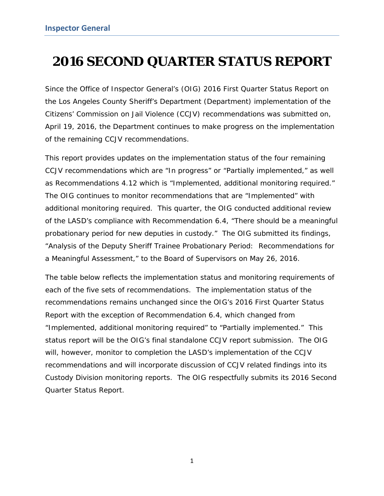# **2016 SECOND QUARTER STATUS REPORT**

Since the Office of Inspector General's (OIG) *2016 First Quarter Status Report* on the Los Angeles County Sheriff's Department (Department) implementation of the Citizens' Commission on Jail Violence (CCJV) recommendations was submitted on, April 19, 2016, the Department continues to make progress on the implementation of the remaining CCJV recommendations.

This report provides updates on the implementation status of the four remaining CCJV recommendations which are "In progress" or "Partially implemented," as well as Recommendations 4.12 which is "Implemented, additional monitoring required." The OIG continues to monitor recommendations that are "Implemented" with additional monitoring required. This quarter, the OIG conducted additional review of the LASD's compliance with Recommendation 6.4, "There should be a meaningful probationary period for new deputies in custody." The OIG submitted its findings, "Analysis of the Deputy Sheriff Trainee Probationary Period: Recommendations for a Meaningful Assessment," to the Board of Supervisors on May 26, 2016.

The table below reflects the implementation status and monitoring requirements of each of the five sets of recommendations. The implementation status of the recommendations remains unchanged since the OIG's *2016 First Quarter Status Report* with the exception of Recommendation 6.4, which changed from "Implemented, additional monitoring required" to "Partially implemented." This status report will be the OIG's final standalone CCJV report submission. The OIG will, however, monitor to completion the LASD's implementation of the CCJV recommendations and will incorporate discussion of CCJV related findings into its Custody Division monitoring reports. The OIG respectfully submits its 2016 Second Quarter Status Report*.*

1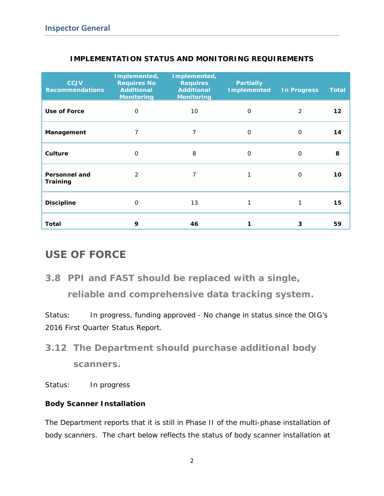| <b>CCJV</b><br><b>Recommendations</b> | Implemented,<br><b>Requires No</b><br><b>Additional</b><br><b>Monitoring</b> | Implemented,<br><b>Requires</b><br><b>Additional</b><br><b>Monitoring</b> | <b>Partially</b><br><b>Implemented</b> | <b>In Progress</b> | <b>Total</b> |
|---------------------------------------|------------------------------------------------------------------------------|---------------------------------------------------------------------------|----------------------------------------|--------------------|--------------|
| Use of Force                          | $\Omega$                                                                     | 10                                                                        | 0                                      | 2                  | 12           |
| Management                            | 7                                                                            | 7                                                                         | 0                                      | $\Omega$           | 14           |
| Culture                               | $\Omega$                                                                     | 8                                                                         | 0                                      | $\Omega$           | 8            |
| <b>Personnel and</b><br>Training      | $\mathcal{P}$                                                                | 7                                                                         |                                        | $\Omega$           | 10           |
| <b>Discipline</b>                     | $\Omega$                                                                     | 13                                                                        |                                        | 1                  | 15           |
| Total                                 | 9                                                                            | 46                                                                        |                                        | 3                  | 59           |

## **IMPLEMENTATION STATUS AND MONITORING REQUIREMENTS**

## **USE OF FORCE**

*3.8 PPI and FAST should be replaced with a single,* 

*reliable and comprehensive data tracking system.* 

*Status: In progress, funding approved* - No change in status since the OIG's *2016 First Quarter Status Report.*

*3.12 The Department should purchase additional body scanners.*

*Status: In progress*

## *Body Scanner Installation*

The Department reports that it is still in Phase II of the multi-phase installation of body scanners. The chart below reflects the status of body scanner installation at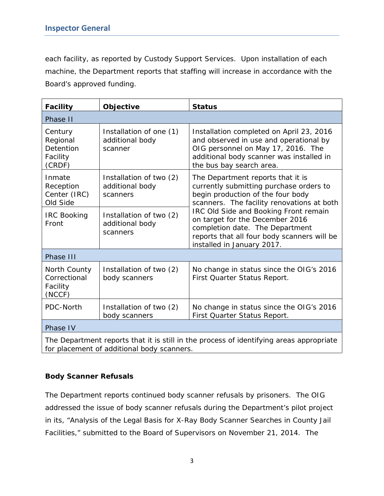each facility, as reported by Custody Support Services. Upon installation of each machine, the Department reports that staffing will increase in accordance with the Board's approved funding.

| <b>Facility</b>                                                                                                                       | Objective                                              | <b>Status</b>                                                                                                                                                                                    |  |  |  |
|---------------------------------------------------------------------------------------------------------------------------------------|--------------------------------------------------------|--------------------------------------------------------------------------------------------------------------------------------------------------------------------------------------------------|--|--|--|
| Phase II                                                                                                                              |                                                        |                                                                                                                                                                                                  |  |  |  |
| Century<br>Regional<br>Detention<br>Facility<br>(CRDF)                                                                                | Installation of one (1)<br>additional body<br>scanner  | Installation completed on April 23, 2016<br>and observed in use and operational by<br>OIG personnel on May 17, 2016. The<br>additional body scanner was installed in<br>the bus bay search area. |  |  |  |
| Inmate<br>Reception<br>Center (IRC)<br>Old Side                                                                                       | Installation of two (2)<br>additional body<br>scanners | The Department reports that it is<br>currently submitting purchase orders to<br>begin production of the four body<br>scanners. The facility renovations at both                                  |  |  |  |
| <b>IRC Booking</b><br>Front                                                                                                           | Installation of two (2)<br>additional body<br>scanners | IRC Old Side and Booking Front remain<br>on target for the December 2016<br>completion date. The Department<br>reports that all four body scanners will be<br>installed in January 2017.         |  |  |  |
| Phase III                                                                                                                             |                                                        |                                                                                                                                                                                                  |  |  |  |
| North County<br>Correctional<br>Facility<br>(NCCF)                                                                                    | Installation of two (2)<br>body scanners               | No change in status since the OIG's 2016<br>First Quarter Status Report.                                                                                                                         |  |  |  |
| PDC-North                                                                                                                             | Installation of two (2)<br>body scanners               | No change in status since the OIG's 2016<br>First Quarter Status Report.                                                                                                                         |  |  |  |
| Phase IV                                                                                                                              |                                                        |                                                                                                                                                                                                  |  |  |  |
| The Department reports that it is still in the process of identifying areas appropriate<br>for placement of additional body scanners. |                                                        |                                                                                                                                                                                                  |  |  |  |

#### *Body Scanner Refusals*

The Department reports continued body scanner refusals by prisoners. The OIG addressed the issue of body scanner refusals during the Department's pilot project in its, "Analysis of the Legal Basis for X-Ray Body Scanner Searches in County Jail Facilities," submitted to the Board of Supervisors on November 21, 2014. The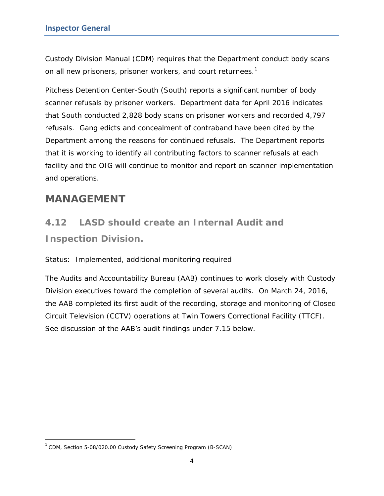Custody Division Manual (CDM) requires that the Department conduct body scans on all new prisoners, prisoner workers, and court returnees.<sup>[1](#page-4-0)</sup>

Pitchess Detention Center-South (South) reports a significant number of body scanner refusals by prisoner workers. Department data for April 2016 indicates that South conducted 2,828 body scans on prisoner workers and recorded 4,797 refusals. Gang edicts and concealment of contraband have been cited by the Department among the reasons for continued refusals. The Department reports that it is working to identify all contributing factors to scanner refusals at each facility and the OIG will continue to monitor and report on scanner implementation and operations.

## **MANAGEMENT**

# *4.12 LASD should create an Internal Audit and Inspection Division.*

## *Status: Implemented, additional monitoring required*

The Audits and Accountability Bureau (AAB) continues to work closely with Custody Division executives toward the completion of several audits. On March 24, 2016, the AAB completed its first audit of the recording, storage and monitoring of Closed Circuit Television (CCTV) operations at Twin Towers Correctional Facility (TTCF). See discussion of the AAB's audit findings under 7.15 below.

<span id="page-4-0"></span> <sup>1</sup> CDM, Section 5-08/020.00 Custody Safety Screening Program (B-SCAN)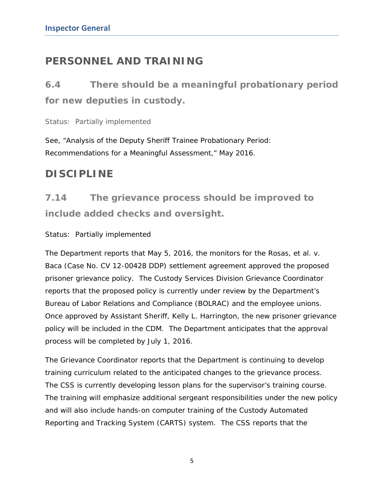## **PERSONNEL AND TRAINING**

*6.4 There should be a meaningful probationary period for new deputies in custody.*

*Status: Partially implemented*

See, "Analysis of the Deputy Sheriff Trainee Probationary Period: Recommendations for a Meaningful Assessment," May 2016.

## **DISCIPLINE**

*7.14 The grievance process should be improved to include added checks and oversight.* 

## *Status: Partially implemented*

The Department reports that May 5, 2016, the monitors for the *Rosas, et al. v. Baca* (Case No. CV 12-00428 DDP) settlement agreement approved the proposed prisoner grievance policy. The Custody Services Division Grievance Coordinator reports that the proposed policy is currently under review by the Department's Bureau of Labor Relations and Compliance (BOLRAC) and the employee unions. Once approved by Assistant Sheriff, Kelly L. Harrington, the new prisoner grievance policy will be included in the CDM. The Department anticipates that the approval process will be completed by July 1, 2016.

The Grievance Coordinator reports that the Department is continuing to develop training curriculum related to the anticipated changes to the grievance process. The CSS is currently developing lesson plans for the supervisor's training course. The training will emphasize additional sergeant responsibilities under the new policy and will also include hands-on computer training of the Custody Automated Reporting and Tracking System (CARTS) system. The CSS reports that the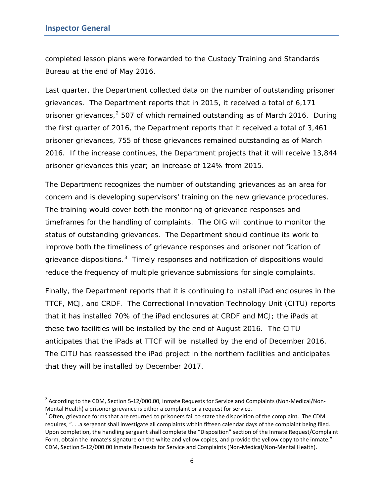completed lesson plans were forwarded to the Custody Training and Standards Bureau at the end of May 2016.

Last quarter, the Department collected data on the number of outstanding prisoner grievances. The Department reports that in 2015, it received a total of 6,171 prisoner grievances,<sup>[2](#page-6-0)</sup> 507 of which remained outstanding as of March 2016. During the first quarter of 2016, the Department reports that it received a total of 3,461 prisoner grievances, 755 of those grievances remained outstanding as of March 2016. If the increase continues, the Department projects that it will receive 13,844 prisoner grievances this year; an increase of 124% from 2015.

The Department recognizes the number of outstanding grievances as an area for concern and is developing supervisors' training on the new grievance procedures. The training would cover both the monitoring of grievance responses and timeframes for the handling of complaints. The OIG will continue to monitor the status of outstanding grievances. The Department should continue its work to improve both the timeliness of grievance responses and prisoner notification of grievance dispositions.<sup>[3](#page-6-1)</sup> Timely responses and notification of dispositions would reduce the frequency of multiple grievance submissions for single complaints.

Finally, the Department reports that it is continuing to install iPad enclosures in the TTCF, MCJ, and CRDF. The Correctional Innovation Technology Unit (CITU) reports that it has installed 70% of the iPad enclosures at CRDF and MCJ; the iPads at these two facilities will be installed by the end of August 2016. The CITU anticipates that the iPads at TTCF will be installed by the end of December 2016. The CITU has reassessed the iPad project in the northern facilities and anticipates that they will be installed by December 2017.

<span id="page-6-0"></span><sup>&</sup>lt;sup>2</sup> According to the CDM, Section 5-12/000.00, Inmate Requests for Service and Complaints (Non-Medical/Non-Mental Health) a prisoner grievance is either a complaint or a request for service.<br> $3$  Often, grievance forms that are returned to prisoners fail to state the disposition of the complaint. The CDM

<span id="page-6-1"></span>requires, ". . .a sergeant shall investigate all complaints within fifteen calendar days of the complaint being filed. Upon completion, the handling sergeant shall complete the "Disposition" section of the Inmate Request/Complaint Form, obtain the inmate's signature on the white and yellow copies, and provide the yellow copy to the inmate." CDM, Section 5-12/000.00 Inmate Requests for Service and Complaints (Non-Medical/Non-Mental Health).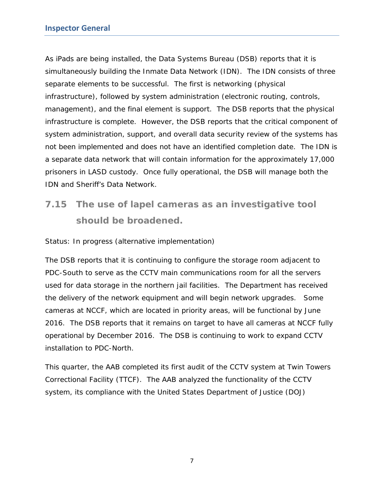As iPads are being installed, the Data Systems Bureau (DSB) reports that it is simultaneously building the Inmate Data Network (IDN). The IDN consists of three separate elements to be successful. The first is networking (physical infrastructure), followed by system administration (electronic routing, controls, management), and the final element is support. The DSB reports that the physical infrastructure is complete. However, the DSB reports that the critical component of system administration, support, and overall data security review of the systems has not been implemented and does not have an identified completion date. The IDN is a separate data network that will contain information for the approximately 17,000 prisoners in LASD custody. Once fully operational, the DSB will manage both the IDN and Sheriff's Data Network.

# *7.15 The use of lapel cameras as an investigative tool should be broadened.*

#### *Status: In progress (alternative implementation)*

The DSB reports that it is continuing to configure the storage room adjacent to PDC-South to serve as the CCTV main communications room for all the servers used for data storage in the northern jail facilities. The Department has received the delivery of the network equipment and will begin network upgrades. Some cameras at NCCF, which are located in priority areas, will be functional by June 2016. The DSB reports that it remains on target to have all cameras at NCCF fully operational by December 2016. The DSB is continuing to work to expand CCTV installation to PDC-North.

This quarter, the AAB completed its first audit of the CCTV system at Twin Towers Correctional Facility (TTCF). The AAB analyzed the functionality of the CCTV system, its compliance with the United States Department of Justice (DOJ)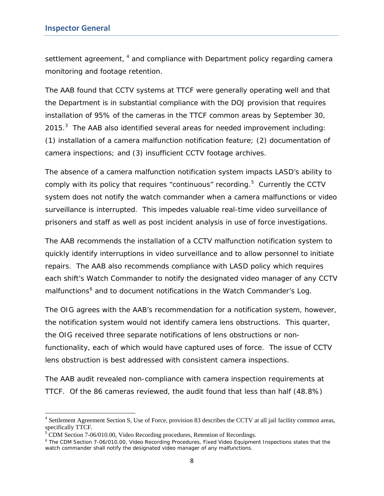settlement agreement, <sup>[4](#page-8-0)</sup> and compliance with Department policy regarding camera monitoring and footage retention.

The AAB found that CCTV systems at TTCF were generally operating well and that the Department is in substantial compliance with the DOJ provision that requires installation of 95% of the cameras in the TTCF common areas by September 30, 2015. $3$  The AAB also identified several areas for needed improvement including: (1) installation of a camera malfunction notification feature; (2) documentation of camera inspections; and (3) insufficient CCTV footage archives.

The absence of a camera malfunction notification system impacts LASD's ability to comply with its policy that requires "continuous" recording. $5$  Currently the CCTV system does not notify the watch commander when a camera malfunctions or video surveillance is interrupted. This impedes valuable real-time video surveillance of prisoners and staff as well as post incident analysis in use of force investigations.

The AAB recommends the installation of a CCTV malfunction notification system to quickly identify interruptions in video surveillance and to allow personnel to initiate repairs. The AAB also recommends compliance with LASD policy which requires each shift's Watch Commander to notify the designated video manager of any CCTV malfunctions<sup>[6](#page-8-2)</sup> and to document notifications in the Watch Commander's Log.

The OIG agrees with the AAB's recommendation for a notification system, however, the notification system would not identify camera lens obstructions. This quarter, the OIG received three separate notifications of lens obstructions or nonfunctionality, each of which would have captured uses of force. The issue of CCTV lens obstruction is best addressed with consistent camera inspections.

The AAB audit revealed non-compliance with camera inspection requirements at TTCF. Of the 86 cameras reviewed, the audit found that less than half (48.8%)

<span id="page-8-0"></span><sup>&</sup>lt;sup>4</sup> Settlement Agreement Section S, Use of Force, provision 83 describes the CCTV at all jail facility common areas, specifically TTCF.

<span id="page-8-1"></span> $5$  CDM Section 7-06/010.00, Video Recording procedures, Retention of Recordings.

<span id="page-8-2"></span><sup>&</sup>lt;sup>6</sup> The CDM Section 7-06/010.00, Video Recording Procedures, Fixed Video Equipment Inspections states that the watch commander shall notify the designated video manager of any malfunctions.